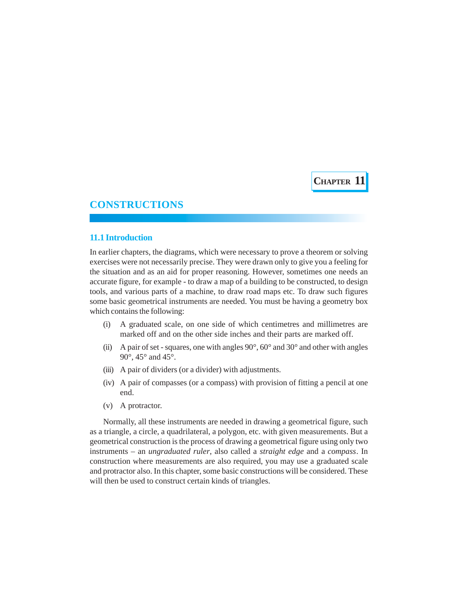**CHAPTER 11**

# **CONSTRUCTIONS**

# **11.1 Introduction**

In earlier chapters, the diagrams, which were necessary to prove a theorem or solving exercises were not necessarily precise. They were drawn only to give you a feeling for the situation and as an aid for proper reasoning. However, sometimes one needs an accurate figure, for example - to draw a map of a building to be constructed, to design tools, and various parts of a machine, to draw road maps etc. To draw such figures some basic geometrical instruments are needed. You must be having a geometry box which contains the following:

- (i) A graduated scale, on one side of which centimetres and millimetres are marked off and on the other side inches and their parts are marked off.
- (ii) A pair of set squares, one with angles  $90^\circ$ ,  $60^\circ$  and  $30^\circ$  and other with angles 90°, 45° and 45°.
- (iii) A pair of dividers (or a divider) with adjustments.
- (iv) A pair of compasses (or a compass) with provision of fitting a pencil at one end.
- (v) A protractor.

Normally, all these instruments are needed in drawing a geometrical figure, such as a triangle, a circle, a quadrilateral, a polygon, etc. with given measurements. But a geometrical construction is the process of drawing a geometrical figure using only two instruments – an *ungraduated ruler*, also called a *straight edge* and a *compass*. In construction where measurements are also required, you may use a graduated scale and protractor also. In this chapter, some basic constructions will be considered. These will then be used to construct certain kinds of triangles.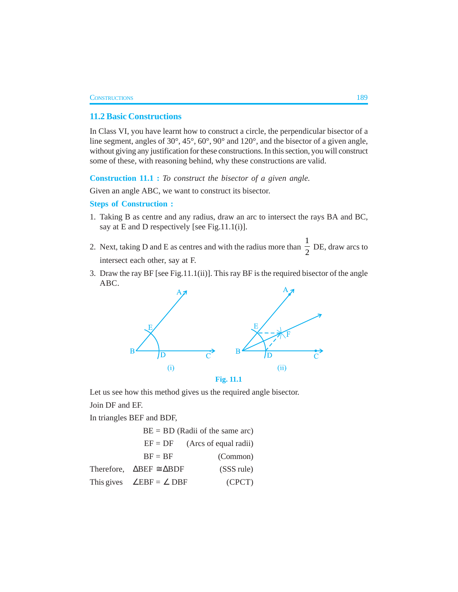# **11.2 Basic Constructions**

In Class VI, you have learnt how to construct a circle, the perpendicular bisector of a line segment, angles of 30°, 45°, 60°, 90° and 120°, and the bisector of a given angle, without giving any justification for these constructions. In this section, you will construct some of these, with reasoning behind, why these constructions are valid.

**Construction 11.1 :** *To construct the bisector of a given angle.*

Given an angle ABC, we want to construct its bisector.

#### **Steps of Construction :**

- 1. Taking B as centre and any radius, draw an arc to intersect the rays BA and BC, say at E and D respectively [see Fig.11.1(i)].
- 2. Next, taking D and E as centres and with the radius more than 1  $\frac{1}{2}$  DE, draw arcs to intersect each other, say at F.
- 3. Draw the ray BF [see Fig.11.1(ii)]. This ray BF is the required bisector of the angle ABC.



**Fig. 11.1**

Let us see how this method gives us the required angle bisector. Join DF and EF.

In triangles BEF and BDF,

| $BE = BD$ (Radii of the same arc)              |                       |  |
|------------------------------------------------|-----------------------|--|
| $EF = DF$                                      | (Arcs of equal radii) |  |
| $BF = BF$                                      | (Common)              |  |
| Therefore, $\triangle BEF \cong \triangle BDF$ | (SSS rule)            |  |
| This gives $\angle EBF = \angle DBF$           | (CPCT)                |  |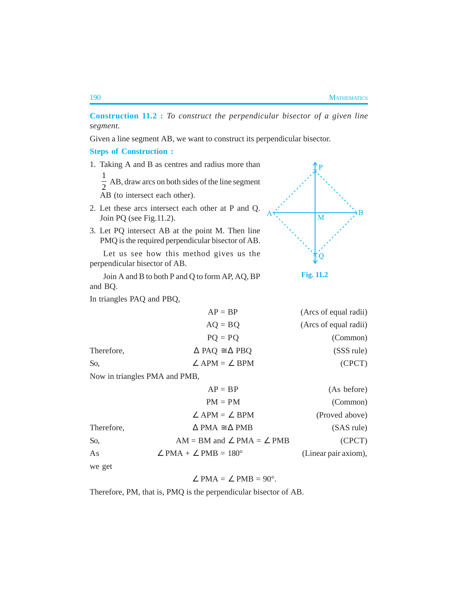**Fig. 11.2**

 $\overline{\mathbf{M}}$ 

**Construction 11.2 :** *To construct the perpendicular bisector of a given line segment.*

Given a line segment AB, we want to construct its perpendicular bisector.

**Steps of Construction :**

1. Taking A and B as centres and radius more than

1  $\frac{1}{2}$  AB, draw arcs on both sides of the line segment

AB (to intersect each other).

- 2. Let these arcs intersect each other at P and Q. Join PQ (see Fig.11.2).
- 3. Let PQ intersect AB at the point M. Then line PMQ is the required perpendicular bisector of AB.

Let us see how this method gives us the perpendicular bisector of AB.

Join A and B to both P and Q to form AP, AQ, BP and BQ.

In triangles PAQ and PBQ,

|            | $AP = BP$                             | (Arcs of equal radii) |
|------------|---------------------------------------|-----------------------|
|            | $AQ = BQ$                             | (Arcs of equal radii) |
|            | $PQ = PQ$                             | (Common)              |
| Therefore, | $\triangle$ PAQ $\cong \triangle$ PBQ | (SSS rule)            |
| So,        | $\angle$ APM = $\angle$ BPM           | (CPCT)                |

Now in triangles PMA and PMB,

|            | $AP = BP$                                      | (As before)          |
|------------|------------------------------------------------|----------------------|
|            | $PM = PM$                                      | (Common)             |
|            | $\angle$ APM = $\angle$ BPM                    | (Proved above)       |
| Therefore, | $\triangle$ PMA $\cong \triangle$ PMB          | (SAS rule)           |
| So,        | $AM = BM$ and $\angle$ PMA = $\angle$ PMB      | (CPCT)               |
| As         | $\angle$ PMA + $\angle$ PMB = 180 <sup>o</sup> | (Linear pair axiom), |
| we get     |                                                |                      |

$$
\angle
$$
 PMA =  $\angle$  PMB = 90<sup>°</sup>.

Therefore, PM, that is, PMQ is the perpendicular bisector of AB.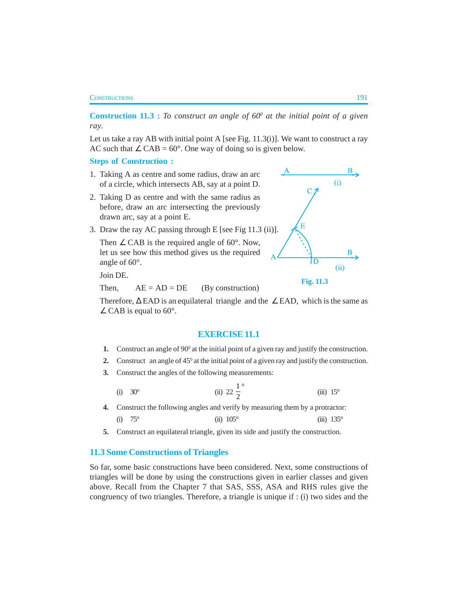#### **CONSTRUCTIONS** 191

**Construction 11.3 :** *To construct an angle of*  $60^\circ$  *at the initial point of a given ray.*

Let us take a ray AB with initial point A [see Fig. 11.3(i)]. We want to construct a ray AC such that  $\angle$  CAB = 60°. One way of doing so is given below.

**Steps of Construction :**

- 1. Taking A as centre and some radius, draw an arc of a circle, which intersects AB, say at a point D.
- 2. Taking D as centre and with the same radius as before, draw an arc intersecting the previously drawn arc, say at a point E.
- 3. Draw the ray AC passing through E [see Fig 11.3 (ii)].

Then  $\angle$  CAB is the required angle of 60 $^{\circ}$ . Now, let us see how this method gives us the required angle of 60°.

Join DE.

Then,  $AE = AD = DE$  (By construction)

Therefore,  $\Delta$  EAD is an equilateral triangle and the ∠ EAD, which is the same as  $\angle$  CAB is equal to 60°.

### **EXERCISE 11.1**

- **1.** Construct an angle of  $90^\circ$  at the initial point of a given ray and justify the construction.
- **2.** Construct an angle of  $45^\circ$  at the initial point of a given ray and justify the construction.
- **3.** Construct the angles of the following measurements:

(i) 30<sup>°</sup> (ii) 22 
$$
\frac{1}{2}
$$
<sup>°</sup> (iii) 15<sup>°</sup>

**4.** Construct the following angles and verify by measuring them by a protractor: (i)  $75^{\circ}$  (ii)  $105^{\circ}$  (iii)  $135^{\circ}$ 

**5.** Construct an equilateral triangle, given its side and justify the construction.

# **11.3 Some Constructions of Triangles**

So far, some basic constructions have been considered. Next, some constructions of triangles will be done by using the constructions given in earlier classes and given above. Recall from the Chapter 7 that SAS, SSS, ASA and RHS rules give the congruency of two triangles. Therefore, a triangle is unique if : (i) two sides and the



**Fig. 11.3**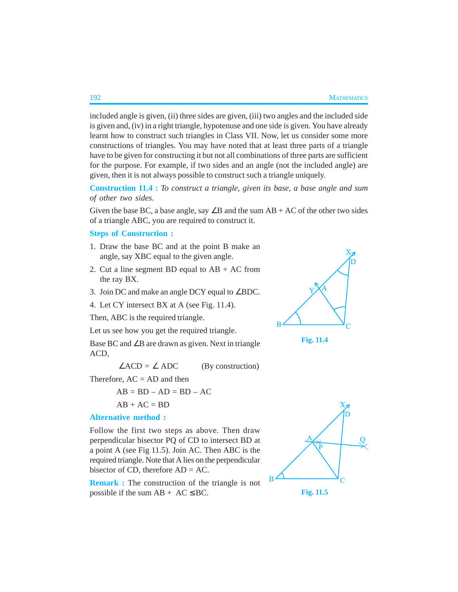included angle is given, (ii) three sides are given, (iii) two angles and the included side is given and, (iv) in a right triangle, hypotenuse and one side is given. You have already learnt how to construct such triangles in Class VII. Now, let us consider some more constructions of triangles. You may have noted that at least three parts of a triangle have to be given for constructing it but not all combinations of three parts are sufficient for the purpose. For example, if two sides and an angle (not the included angle) are given, then it is not always possible to construct such a triangle uniquely.

**Construction 11.4 :** *To construct a triangle, given its base, a base angle and sum of other two sides.*

Given the base BC, a base angle, say ∠B and the sum AB + AC of the other two sides of a triangle ABC, you are required to construct it.

# **Steps of Construction :**

- 1. Draw the base BC and at the point B make an angle, say XBC equal to the given angle.
- 2. Cut a line segment BD equal to  $AB + AC$  from the ray BX.
- 3. Join DC and make an angle DCY equal to ∠BDC.
- 4. Let CY intersect BX at A (see Fig. 11.4).

Then, ABC is the required triangle.

Let us see how you get the required triangle.

Base BC and ∠B are drawn as given. Next in triangle ACD,

 $\angle ACD = \angle ADC$  (By construction)

Therefore,  $AC = AD$  and then

 $AB = BD - AD = BD - AC$ 

$$
AB + AC = BD
$$

### **Alternative method :**

Follow the first two steps as above. Then draw perpendicular bisector PQ of CD to intersect BD at a point A (see Fig 11.5). Join AC. Then ABC is the required triangle. Note that A lies on the perpendicular bisector of CD, therefore  $AD = AC$ .

**Remark :** The construction of the triangle is not possible if the sum  $AB + AC \le BC$ .





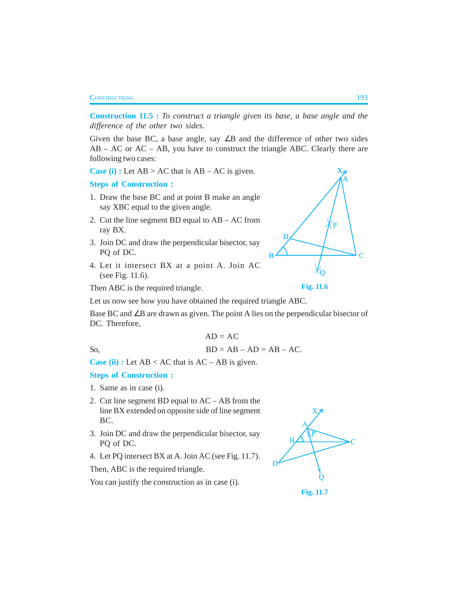#### CONSTRUCTIONS 193

**Construction 11.5 :** *To construct a triangle given its base, a base angle and the difference of the other two sides.*

Given the base BC, a base angle, say  $\angle B$  and the difference of other two sides AB – AC or AC – AB, you have to construct the triangle ABC. Clearly there are following two cases:

**Case (i) :** Let  $AB > AC$  that is  $AB - AC$  is given.

### **Steps of Construction :**

- 1. Draw the base BC and at point B make an angle say XBC equal to the given angle.
- 2. Cut the line segment BD equal to AB AC from ray BX.
- 3. Join DC and draw the perpendicular bisector, say PQ of DC.
- 4. Let it intersect BX at a point A. Join AC (see Fig. 11.6).

Then ABC is the required triangle.

Let us now see how you have obtained the required triangle ABC.

Base BC and ∠B are drawn as given. The point A lies on the perpendicular bisector of DC. Therefore,

$$
AD = AC
$$
  
SO, BD = AB – AD = AB – AC.

**Case (ii) :** Let  $AB < AC$  that is  $AC - AB$  is given.

# **Steps of Construction :**

- 1. Same as in case (i).
- 2. Cut line segment BD equal to AC AB from the line BX extended on opposite side of line segment BC.
- 3. Join DC and draw the perpendicular bisector, say PQ of DC.
- 4. Let PQ intersect BX at A. Join AC (see Fig. 11.7).

Then, ABC is the required triangle.

You can justify the construction as in case (i).



**Fig. 11.7**

Ċ Þ

**Fig. 11.6**

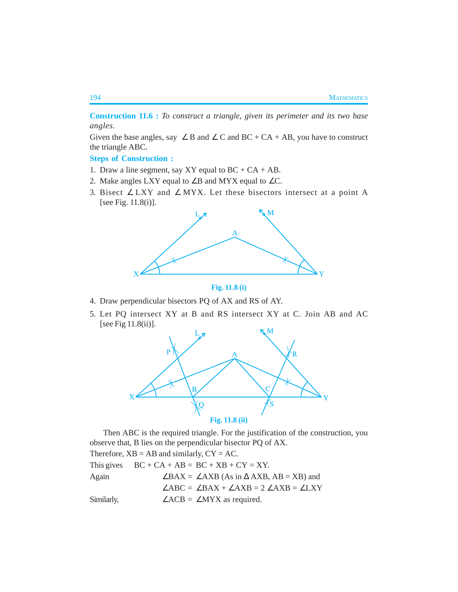**Construction 11.6 :** *To construct a triangle, given its perimeter and its two base angles.*

Given the base angles, say  $\angle B$  and  $\angle C$  and BC + CA + AB, you have to construct the triangle ABC.

**Steps of Construction :**

- 1. Draw a line segment, say XY equal to  $BC + CA + AB$ .
- 2. Make angles LXY equal to  $\angle$ B and MYX equal to  $\angle$ C.
- 3. Bisect ∠ LXY and ∠ MYX. Let these bisectors intersect at a point A [see Fig. 11.8(i)].





- 4. Draw perpendicular bisectors PQ of AX and RS of AY.
- 5. Let PQ intersect XY at B and RS intersect XY at C. Join AB and AC [see Fig 11.8(ii)].



Then ABC is the required triangle. For the justification of the construction, you observe that, B lies on the perpendicular bisector PQ of AX.

Therefore,  $XB = AB$  and similarly,  $CY = AC$ . This gives  $BC + CA + AB = BC + XB + CY = XY$ . Again ∠BAX = ∠AXB (As in  $\triangle$ AXB, AB = XB) and ∠ABC = ∠BAX + ∠AXB = 2 ∠AXB = ∠LXY Similarly,  $\angle ACB = \angle MYX$  as required.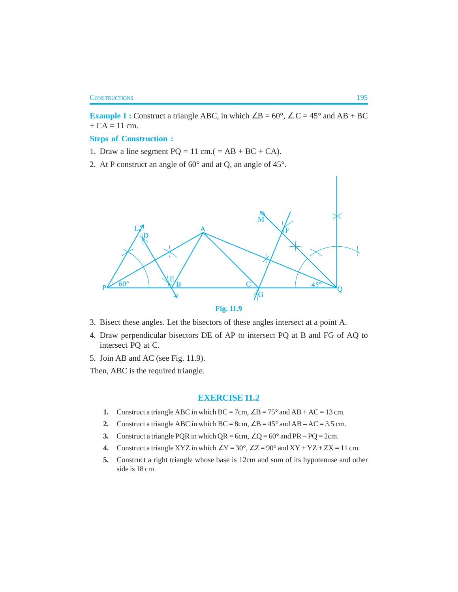**Example 1 :** Construct a triangle ABC, in which  $\angle B = 60^\circ$ ,  $\angle C = 45^\circ$  and AB + BC  $+ CA = 11$  cm.

### **Steps of Construction :**

- 1. Draw a line segment  $PQ = 11$  cm.( = AB + BC + CA).
- 2. At P construct an angle of 60° and at Q, an angle of 45°.





- 4. Draw perpendicular bisectors DE of AP to intersect PQ at B and FG of AQ to intersect PQ at C.
- 5. Join AB and AC (see Fig. 11.9).
- Then, ABC is the required triangle.

# **EXERCISE 11.2**

- **1.** Construct a triangle ABC in which  $BC = 7cm$ ,  $\angle B = 75^\circ$  and  $AB + AC = 13$  cm.
- **2.** Construct a triangle ABC in which  $BC = 8cm$ ,  $\angle B = 45^\circ$  and  $AB AC = 3.5$  cm.
- **3.** Construct a triangle PQR in which  $QR = 6cm$ ,  $\angle Q = 60^\circ$  and  $PR PQ = 2cm$ .
- **4.** Construct a triangle XYZ in which  $\angle$ Y = 30°,  $\angle$ Z = 90° and XY + YZ + ZX = 11 cm.
- **5.** Construct a right triangle whose base is 12cm and sum of its hypotenuse and other side is 18 cm.